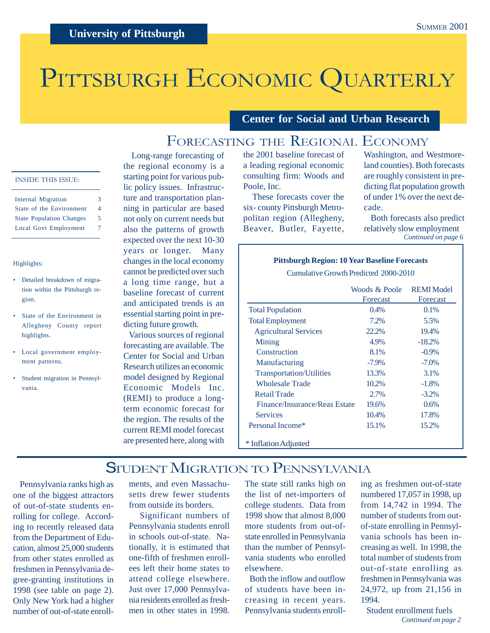# PITTSBURGH ECONOMIC QUARTERLY

**Center for Social and Urban Research**

### FORECASTING THE REGIONAL ECONOMY

### INSIDE THIS ISSUE:

| <b>Internal Migration</b>       | 3 |
|---------------------------------|---|
| State of the Environment        | 4 |
| <b>State Population Changes</b> | 5 |
| Local Govt Employment           | 7 |
|                                 |   |

#### Highlights:

- Detailed breakdown of migration within the Pittsburgh region.
- State of the Environment in Allegheny County report highlights.
- Local government employment patterns.
- Student migration in Pennsylvania.

 Long-range forecasting of the regional economy is a starting point for various public policy issues. Infrastructure and transportation planning in particular are based not only on current needs but also the patterns of growth expected over the next 10-30 years or longer. Many changes in the local economy cannot be predicted over such a long time range, but a baseline forecast of current and anticipated trends is an essential starting point in predicting future growth.

 Various sources of regional forecasting are available. The Center for Social and Urban Research utilizes an economic model designed by Regional Economic Models Inc. (REMI) to produce a longterm economic forecast for the region. The results of the current REMI model forecast are presented here, along with the 2001 baseline forecast of a leading regional economic consulting firm: Woods and Poole, Inc.

 These forecasts cover the six- county Pittsburgh Metropolitan region (Allegheny, Beaver, Butler, Fayette, Washington, and Westmoreland counties). Both forecasts are roughly consistent in predicting flat population growth of under 1% over the next decade.

 Both forecasts also predict relatively slow employment *Continued on page 6*

#### **Pittsburgh Region: 10 Year Baseline Forecasts**

Cumulative Growth Predicted 2000-2010

|                                 | Woods & Poole<br>Forecast | <b>REMI</b> Model<br>Forecast |
|---------------------------------|---------------------------|-------------------------------|
| <b>Total Population</b>         | $0.4\%$                   | $0.1\%$                       |
| <b>Total Employment</b>         | 7.2%                      | 5.5%                          |
| <b>Agricultural Services</b>    | 22.2%                     | 19.4%                         |
| Mining                          | 4.9%                      | $-18.2%$                      |
| Construction                    | 8.1%                      | $-0.9\%$                      |
| Manufacturing                   | $-7.9\%$                  | $-7.0\%$                      |
| <b>Transportation/Utilities</b> | 13.3%                     | 3.1%                          |
| Wholesale Trade                 | 10.2%                     | $-1.8%$                       |
| <b>Retail Trade</b>             | 2.7%                      | $-3.2\%$                      |
| Finance/Insurance/Reas Estate   | 19.6%                     | 0.6%                          |
| <b>Services</b>                 | 10.4%                     | 17.8%                         |
| Personal Income*                | 15.1%                     | 15.2%                         |
| * Inflation Adjusted            |                           |                               |

### STUDENT MIGRATION TO PENNSYLVANIA

 Pennsylvania ranks high as one of the biggest attractors of out-of-state students enrolling for college. According to recently released data from the Department of Education, almost 25,000 students from other states enrolled as freshmen in Pennsylvania degree-granting institutions in 1998 (see table on page 2). Only New York had a higher number of out-of-state enroll-

ments, and even Massachusetts drew fewer students from outside its borders.

 Significant numbers of Pennsylvania students enroll in schools out-of-state. Nationally, it is estimated that one-fifth of freshmen enrollees left their home states to attend college elsewhere. Just over 17,000 Pennsylvania residents enrolled as freshmen in other states in 1998.

The state still ranks high on the list of net-importers of college students. Data from 1998 show that almost 8,000 more students from out-ofstate enrolled in Pennsylvania than the number of Pennsylvania students who enrolled elsewhere.

 Both the inflow and outflow of students have been increasing in recent years. Pennsylvania students enrolling as freshmen out-of-state numbered 17,057 in 1998, up from 14,742 in 1994. The number of students from outof-state enrolling in Pennsylvania schools has been increasing as well. In 1998, the total number of students from out-of-state enrolling as freshmen in Pennsylvania was 24,972, up from 21,156 in 1994.

 Student enrollment fuels *Continued on page 2*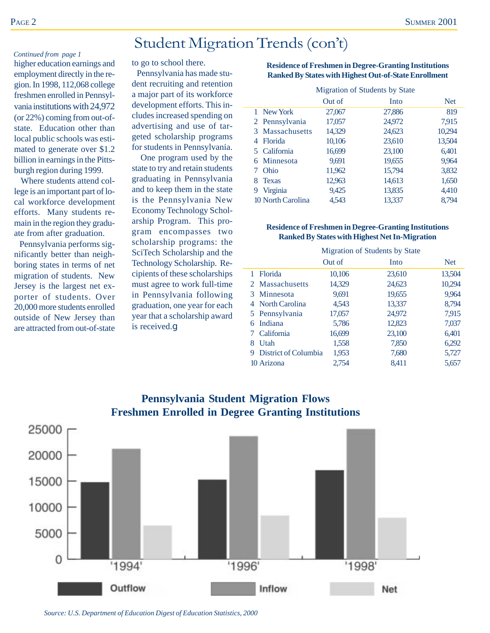### Student Migration Trends (con't)

#### *Continued from page 1*

higher education earnings and employment directly in the region. In 1998, 112,068 college freshmen enrolled in Pennsylvania institutions with 24,972 (or 22%) coming from out-ofstate. Education other than local public schools was estimated to generate over \$1.2 billion in earnings in the Pittsburgh region during 1999.

 Where students attend college is an important part of local workforce development efforts. Many students remain in the region they graduate from after graduation.

 Pennsylvania performs significantly better than neighboring states in terms of net migration of students. New Jersey is the largest net exporter of students. Over 20,000 more students enrolled outside of New Jersey than are attracted from out-of-state to go to school there.

 Pennsylvania has made student recruiting and retention a major part of its workforce development efforts. This includes increased spending on advertising and use of targeted scholarship programs for students in Pennsylvania.

 One program used by the state to try and retain students graduating in Pennsylvania and to keep them in the state is the Pennsylvania New Economy Technology Scholarship Program. This program encompasses two scholarship programs: the SciTech Scholarship and the Technology Scholarship. Recipients of these scholarships must agree to work full-time in Pennsylvania following graduation, one year for each year that a scholarship award is received.g

| <b>Residence of Freshmen in Degree-Granting Institutions</b> |
|--------------------------------------------------------------|
| <b>Ranked By States with Highest Out-of-State Enrollment</b> |

|                     | Migration of Students by State |        |            |  |
|---------------------|--------------------------------|--------|------------|--|
|                     | Out of                         | Into   | <b>Net</b> |  |
| 1 New York          | 27,067                         | 27,886 | 819        |  |
| 2 Pennsylvania      | 17,057                         | 24,972 | 7,915      |  |
| Massachusetts<br>3  | 14,329                         | 24,623 | 10,294     |  |
| <b>Florida</b><br>4 | 10,106                         | 23,610 | 13,504     |  |
| California<br>5.    | 16,699                         | 23,100 | 6,401      |  |
| Minnesota<br>6      | 9,691                          | 19,655 | 9,964      |  |
| Ohio                | 11,962                         | 15,794 | 3,832      |  |
| <b>Texas</b><br>8   | 12,963                         | 14,613 | 1,650      |  |
| Virginia<br>9       | 9,425                          | 13,835 | 4,410      |  |
| 10 North Carolina   | 4.543                          | 13.337 | 8.794      |  |

#### **Residence of Freshmen in Degree-Granting Institutions Ranked By States with Highest Net In-Migration**

|   |                      | Migration of Students by State |        |            |  |
|---|----------------------|--------------------------------|--------|------------|--|
|   |                      | Out of                         | Into   | <b>Net</b> |  |
|   | 1 Florida            | 10,106                         | 23,610 | 13,504     |  |
|   | 2 Massachusetts      | 14,329                         | 24,623 | 10,294     |  |
|   | 3 Minnesota          | 9,691                          | 19,655 | 9.964      |  |
|   | 4 North Carolina     | 4,543                          | 13,337 | 8,794      |  |
|   | 5 Pennsylvania       | 17,057                         | 24,972 | 7,915      |  |
| 6 | Indiana              | 5,786                          | 12,823 | 7,037      |  |
|   | California           | 16,699                         | 23,100 | 6,401      |  |
| 8 | Utah                 | 1,558                          | 7,850  | 6,292      |  |
| 9 | District of Columbia | 1,953                          | 7,680  | 5,727      |  |
|   | 10 Arizona           | 2.754                          | 8,411  | 5,657      |  |



*Source: U.S. Department of Education Digest of Education Statistics, 2000*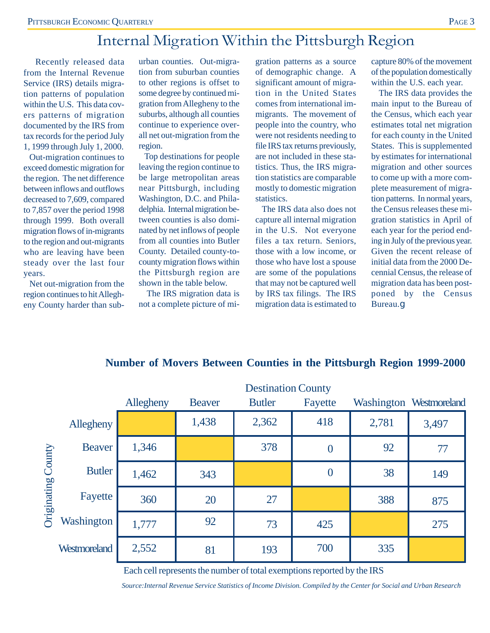## Internal Migration Within the Pittsburgh Region

 Recently released data from the Internal Revenue Service (IRS) details migration patterns of population within the U.S. This data covers patterns of migration documented by the IRS from tax records for the period July 1, 1999 through July 1, 2000.

 Out-migration continues to exceed domestic migration for the region. The net difference between inflows and outflows decreased to 7,609, compared to 7,857 over the period 1998 through 1999. Both overall migration flows of in-migrants to the region and out-migrants who are leaving have been steady over the last four years.

 Net out-migration from the region continues to hit Allegheny County harder than sub-

urban counties. Out-migration from suburban counties to other regions is offset to some degree by continued migration from Allegheny to the suburbs, although all counties continue to experience overall net out-migration from the region.

 Top destinations for people leaving the region continue to be large metropolitan areas near Pittsburgh, including Washington, D.C. and Philadelphia. Internal migration between counties is also dominated by net inflows of people from all counties into Butler County. Detailed county-tocounty migration flows within the Pittsburgh region are shown in the table below.

 The IRS migration data is not a complete picture of migration patterns as a source of demographic change. A significant amount of migration in the United States comes from international immigrants. The movement of people into the country, who were not residents needing to file IRS tax returns previously, are not included in these statistics. Thus, the IRS migration statistics are comparable mostly to domestic migration statistics.

 The IRS data also does not capture all internal migration in the U.S. Not everyone files a tax return. Seniors, those with a low income, or those who have lost a spouse are some of the populations that may not be captured well by IRS tax filings. The IRS migration data is estimated to capture 80% of the movement of the population domestically within the U.S. each year.

 The IRS data provides the main input to the Bureau of the Census, which each year estimates total net migration for each county in the United States. This is supplemented by estimates for international migration and other sources to come up with a more complete measurement of migration patterns. In normal years, the Census releases these migration statistics in April of each year for the period ending in July of the previous year. Given the recent release of initial data from the 2000 Decennial Census, the release of migration data has been postponed by the Census Bureau.g

|             |                   | <b>Destination County</b> |               |               |                  |       |                         |
|-------------|-------------------|---------------------------|---------------|---------------|------------------|-------|-------------------------|
|             |                   | Allegheny                 | <b>Beaver</b> | <b>Butler</b> | Fayette          |       | Washington Westmoreland |
|             | Allegheny         |                           | 1,438         | 2,362         | 418              | 2,781 | 3,497                   |
| County      | <b>Beaver</b>     | 1,346                     |               | 378           | $\overline{0}$   | 92    | 77                      |
| Originating | <b>Butler</b>     | 1,462                     | 343           |               | $\boldsymbol{0}$ | 38    | 149                     |
|             | Fayette           | 360                       | 20            | 27            |                  | 388   | 875                     |
|             | <b>Washington</b> | 1,777                     | 92            | 73            | 425              |       | 275                     |
|             | Westmoreland      | 2,552                     | 81            | 193           | 700              | 335   |                         |

### **Number of Movers Between Counties in the Pittsburgh Region 1999-2000**

Each cell represents the number of total exemptions reported by the IRS

*Source:Internal Revenue Service Statistics of Income Division. Compiled by the Center for Social and Urban Research*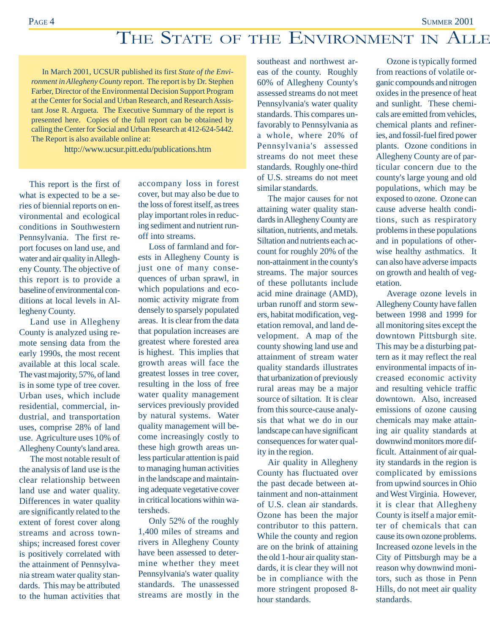# THE STATE OF THE ENVIRONMENT IN ALLE

In March 2001, UCSUR published its first *State of the Environment in Allegheny County* report. The report is by Dr. Stephen Farber, Director of the Environmental Decision Support Program at the Center for Social and Urban Research, and Research Assistant Jose R. Argueta. The Executive Summary of the report is presented here. Copies of the full report can be obtained by calling the Center for Social and Urban Research at 412-624-5442. The Report is also available online at:

http://www.ucsur.pitt.edu/publications.htm

 This report is the first of what is expected to be a series of biennial reports on environmental and ecological conditions in Southwestern Pennsylvania. The first report focuses on land use, and water and air quality in Allegheny County. The objective of this report is to provide a baseline of environmental conditions at local levels in Allegheny County.

Land use in Allegheny County is analyzed using remote sensing data from the early 1990s, the most recent available at this local scale. The vast majority, 57%, of land is in some type of tree cover. Urban uses, which include residential, commercial, industrial, and transportation uses, comprise 28% of land use. Agriculture uses 10% of Allegheny County's land area.

The most notable result of the analysis of land use is the clear relationship between land use and water quality. Differences in water quality are significantly related to the extent of forest cover along streams and across townships; increased forest cover is positively correlated with the attainment of Pennsylvania stream water quality standards. This may be attributed to the human activities that

accompany loss in forest cover, but may also be due to the loss of forest itself, as trees play important roles in reducing sediment and nutrient runoff into streams.

Loss of farmland and forests in Allegheny County is just one of many consequences of urban sprawl, in which populations and economic activity migrate from densely to sparsely populated areas. It is clear from the data that population increases are greatest where forested area is highest. This implies that growth areas will face the greatest losses in tree cover, resulting in the loss of free water quality management services previously provided by natural systems. Water quality management will become increasingly costly to these high growth areas unless particular attention is paid to managing human activities in the landscape and maintaining adequate vegetative cover in critical locations within watersheds.

Only 52% of the roughly 1,400 miles of streams and rivers in Allegheny County have been assessed to determine whether they meet Pennsylvania's water quality standards. The unassessed streams are mostly in the

southeast and northwest areas of the county. Roughly 60% of Allegheny County's assessed streams do not meet Pennsylvania's water quality standards. This compares unfavorably to Pennsylvania as a whole, where 20% of Pennsylvania's assessed streams do not meet these standards. Roughly one-third of U.S. streams do not meet similar standards.

The major causes for not attaining water quality standards in Allegheny County are siltation, nutrients, and metals. Siltation and nutrients each account for roughly 20% of the non-attainment in the county's streams. The major sources of these pollutants include acid mine drainage (AMD), urban runoff and storm sewers, habitat modification, vegetation removal, and land development. A map of the county showing land use and attainment of stream water quality standards illustrates that urbanization of previously rural areas may be a major source of siltation. It is clear from this source-cause analysis that what we do in our landscape can have significant consequences for water quality in the region.

Air quality in Allegheny County has fluctuated over the past decade between attainment and non-attainment of U.S. clean air standards. Ozone has been the major contributor to this pattern. While the county and region are on the brink of attaining the old 1-hour air quality standards, it is clear they will not be in compliance with the more stringent proposed 8 hour standards.

Ozone is typically formed from reactions of volatile organic compounds and nitrogen oxides in the presence of heat and sunlight. These chemicals are emitted from vehicles, chemical plants and refineries, and fossil-fuel fired power plants. Ozone conditions in Allegheny County are of particular concern due to the county's large young and old populations, which may be exposed to ozone. Ozone can cause adverse health conditions, such as respiratory problems in these populations and in populations of otherwise healthy asthmatics. It can also have adverse impacts on growth and health of vegetation.

Average ozone levels in Allegheny County have fallen between 1998 and 1999 for all monitoring sites except the downtown Pittsburgh site. This may be a disturbing pattern as it may reflect the real environmental impacts of increased economic activity and resulting vehicle traffic downtown. Also, increased emissions of ozone causing chemicals may make attaining air quality standards at downwind monitors more difficult. Attainment of air quality standards in the region is complicated by emissions from upwind sources in Ohio and West Virginia. However, it is clear that Allegheny County is itself a major emitter of chemicals that can cause its own ozone problems. Increased ozone levels in the City of Pittsburgh may be a reason why downwind monitors, such as those in Penn Hills, do not meet air quality standards.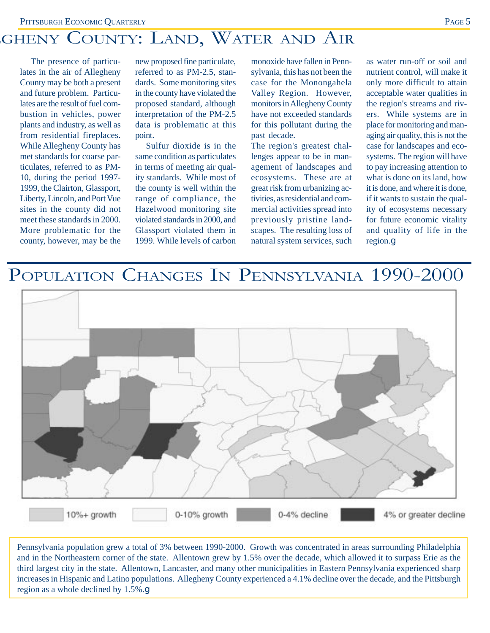# GHENY COUNTY: LAND, WATER AND AIR

The presence of particulates in the air of Allegheny County may be both a present and future problem. Particulates are the result of fuel combustion in vehicles, power plants and industry, as well as from residential fireplaces. While Allegheny County has met standards for coarse particulates, referred to as PM-10, during the period 1997- 1999, the Clairton, Glassport, Liberty, Lincoln, and Port Vue sites in the county did not meet these standards in 2000. More problematic for the county, however, may be the new proposed fine particulate, referred to as PM-2.5, standards. Some monitoring sites in the county have violated the proposed standard, although interpretation of the PM-2.5 data is problematic at this point.

Sulfur dioxide is in the same condition as particulates in terms of meeting air quality standards. While most of the county is well within the range of compliance, the Hazelwood monitoring site violated standards in 2000, and Glassport violated them in 1999. While levels of carbon monoxide have fallen in Pennsylvania, this has not been the case for the Monongahela Valley Region. However, monitors in Allegheny County have not exceeded standards for this pollutant during the past decade.

The region's greatest challenges appear to be in management of landscapes and ecosystems. These are at great risk from urbanizing activities, as residential and commercial activities spread into previously pristine landscapes. The resulting loss of natural system services, such

as water run-off or soil and nutrient control, will make it only more difficult to attain acceptable water qualities in the region's streams and rivers. While systems are in place for monitoring and managing air quality, this is not the case for landscapes and ecosystems. The region will have to pay increasing attention to what is done on its land, how it is done, and where it is done, if it wants to sustain the quality of ecosystems necessary for future economic vitality and quality of life in the region.g

# POPULATION CHANGES IN PENNSYLVANIA 1990-2000



Pennsylvania population grew a total of 3% between 1990-2000. Growth was concentrated in areas surrounding Philadelphia and in the Northeastern corner of the state. Allentown grew by 1.5% over the decade, which allowed it to surpass Erie as the third largest city in the state. Allentown, Lancaster, and many other municipalities in Eastern Pennsylvania experienced sharp increases in Hispanic and Latino populations. Allegheny County experienced a 4.1% decline over the decade, and the Pittsburgh region as a whole declined by 1.5%.g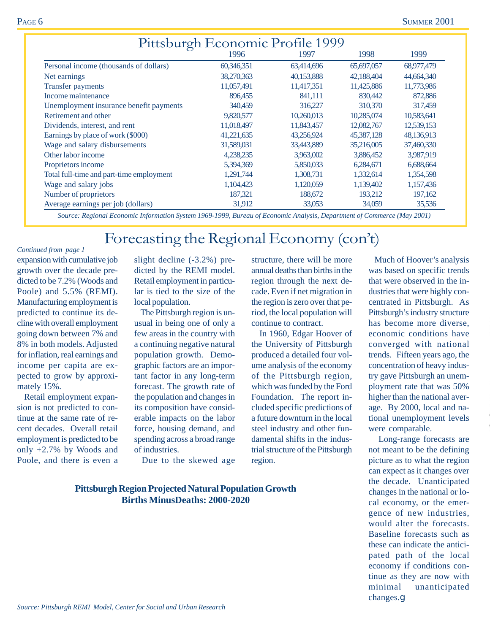| Pittsburgh Economic Profile 1999         |            |            |            |            |  |  |  |  |
|------------------------------------------|------------|------------|------------|------------|--|--|--|--|
| 1998<br>1999<br>1996<br>1997             |            |            |            |            |  |  |  |  |
| Personal income (thousands of dollars)   | 60,346,351 | 63,414,696 | 65,697,057 | 68,977,479 |  |  |  |  |
| Net earnings                             | 38,270,363 | 40,153,888 | 42,188,404 | 44,664,340 |  |  |  |  |
| <b>Transfer payments</b>                 | 11,057,491 | 11,417,351 | 11,425,886 | 11,773,986 |  |  |  |  |
| Income maintenance                       | 896,455    | 841,111    | 830,442    | 872,886    |  |  |  |  |
| Unemployment insurance benefit payments  | 340,459    | 316,227    | 310,370    | 317,459    |  |  |  |  |
| Retirement and other                     | 9,820,577  | 10,260,013 | 10,285,074 | 10,583,641 |  |  |  |  |
| Dividends, interest, and rent            | 11,018,497 | 11,843,457 | 12,082,767 | 12,539,153 |  |  |  |  |
| Earnings by place of work (\$000)        | 41,221,635 | 43,256,924 | 45,387,128 | 48,136,913 |  |  |  |  |
| Wage and salary disbursements            | 31,589,031 | 33,443,889 | 35,216,005 | 37,460,330 |  |  |  |  |
| Other labor income                       | 4,238,235  | 3,963,002  | 3,886,452  | 3,987,919  |  |  |  |  |
| Proprietors income                       | 5,394,369  | 5,850,033  | 6,284,671  | 6,688,664  |  |  |  |  |
| Total full-time and part-time employment | 1,291,744  | 1,308,731  | 1,332,614  | 1,354,598  |  |  |  |  |
| Wage and salary jobs                     | 1,104,423  | 1,120,059  | 1,139,402  | 1,157,436  |  |  |  |  |
| Number of proprietors                    | 187,321    | 188,672    | 193,212    | 197,162    |  |  |  |  |
| Average earnings per job (dollars)       | 31,912     | 33,053     | 34,059     | 35,536     |  |  |  |  |

 *Source: Regional Economic Information System 1969-1999, Bureau of Economic Analysis, Department of Commerce (May 2001)*

# Forecasting the Regional Economy (con't)

expansion with cumulative job growth over the decade predicted to be 7.2% (Woods and Poole) and 5.5% (REMI). Manufacturing employment is predicted to continue its decline with overall employment going down between 7% and 8% in both models. Adjusted for inflation, real earnings and income per capita are expected to grow by approximately 15%. *Continued from page 1*

 Retail employment expansion is not predicted to continue at the same rate of recent decades. Overall retail employment is predicted to be only +2.7% by Woods and Poole, and there is even a slight decline (-3.2%) predicted by the REMI model. Retail employment in particular is tied to the size of the local population.

 The Pittsburgh region is unusual in being one of only a few areas in the country with a continuing negative natural population growth. Demographic factors are an important factor in any long-term forecast. The growth rate of the population and changes in its composition have considerable impacts on the labor force, housing demand, and spending across a broad range of industries.

Due to the skewed age

### **Pittsburgh Region Projected Natural Population Growth Births MinusDeaths: 2000-2020**

structure, there will be more annual deaths than births in the region through the next decade. Even if net migration in the region is zero over that period, the local population will continue to contract.

 In 1960, Edgar Hoover of the University of Pittsburgh produced a detailed four volume analysis of the economy of the Pittsburgh region, which was funded by the Ford Foundation. The report included specific predictions of a future downturn in the local steel industry and other fundamental shifts in the industrial structure of the Pittsburgh region.

 Much of Hoover's analysis was based on specific trends that were observed in the industries that were highly concentrated in Pittsburgh. As Pittsburgh's industry structure has become more diverse, economic conditions have converged with national trends. Fifteen years ago, the concentration of heavy industry gave Pittsburgh an unemployment rate that was 50% higher than the national average. By 2000, local and national unemployment levels were comparable.

 Long-range forecasts are not meant to be the defining picture as to what the region can expect as it changes over the decade. Unanticipated changes in the national or local economy, or the emergence of new industries, would alter the forecasts. Baseline forecasts such as these can indicate the anticipated path of the local economy if conditions continue as they are now with minimal unanticipated changes.g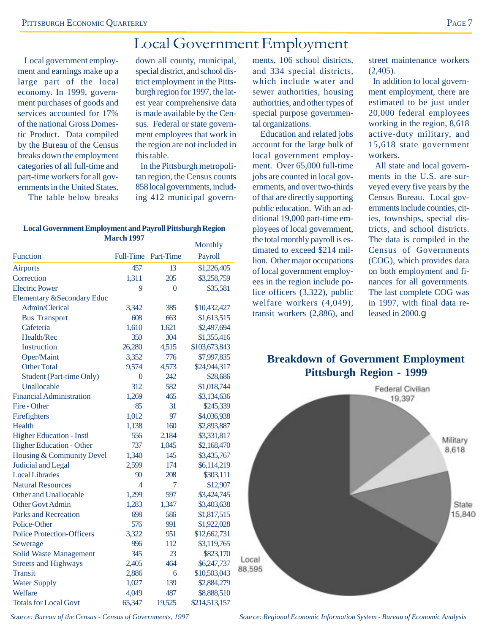### Local Government Employment

 Local government employment and earnings make up a large part of the local economy. In 1999, government purchases of goods and services accounted for 17% of the national Gross Domestic Product. Data compiled by the Bureau of the Census breaks down the employment categories of all full-time and part-time workers for all governments in the United States.

The table below breaks

down all county, municipal, special district, and school district employment in the Pittsburgh region for 1997, the latest year comprehensive data is made available by the Census. Federal or state government employees that work in the region are not included in this table.

 In the Pittsburgh metropolitan region, the Census counts 858 local governments, including 412 municipal govern-

### **Local Government Employment and Payroll Pittsburgh Region March 1997**

|                                       |                  |           | Monthly       |
|---------------------------------------|------------------|-----------|---------------|
| <b>Function</b>                       | <b>Full-Time</b> | Part-Time | Payroll       |
| <b>Airports</b>                       | 457              | 13        | \$1,226,405   |
| Correction                            | 1,311            | 205       | \$3,258,759   |
| <b>Electric Power</b>                 | 9                | 0         | \$35,581      |
| <b>Elementary &amp;Secondary Educ</b> |                  |           |               |
| Admin/Clerical                        | 3,342            | 385       | \$10,432,427  |
| <b>Bus Transport</b>                  | 608              | 663       | \$1,613,515   |
| Cafeteria                             | 1,610            | 1,621     | \$2,497,694   |
| Health/Rec                            | 350              | 304       | \$1,355,416   |
| Instruction                           | 26,280           | 4,515     | \$103,673,843 |
| Oper/Maint                            | 3,352            | 776       | \$7,997,835   |
| <b>Other Total</b>                    | 9,574            | 4,573     | \$24,944,317  |
| <b>Student (Part-time Only)</b>       | $\overline{0}$   | 242       | \$28,686      |
| Unallocable                           | 312              | 582       | \$1,018,744   |
| <b>Financial Administration</b>       | 1,269            | 465       | \$3,134,636   |
| Fire - Other                          | 85               | 31        | \$245,339     |
| Firefighters                          | 1,012            | 97        | \$4,036,938   |
| Health                                | 1,138            | 160       | \$2,893,887   |
| <b>Higher Education - Instl</b>       | 556              | 2,184     | \$3,331,817   |
| <b>Higher Education - Other</b>       | 737              | 1,045     | \$2,168,470   |
| Housing & Community Devel             | 1,340            | 145       | \$3,435,767   |
| <b>Judicial and Legal</b>             | 2,599            | 174       | \$6,114,219   |
| <b>Local Libraries</b>                | 90               | 208       | \$303,111     |
| <b>Natural Resources</b>              | 4                | 7         | \$12,907      |
| Other and Unallocable                 | 1,299            | 597       | \$3,424,745   |
| <b>Other Govt Admin</b>               | 1,283            | 1,347     | \$3,403,638   |
| <b>Parks and Recreation</b>           | 698              | 586       | \$1,817,515   |
| Police-Other                          | 576              | 991       | \$1,922,028   |
| <b>Police Protection-Officers</b>     | 3,322            | 951       | \$12,662,731  |
| Sewerage                              | 996              | 112       | \$3,119,765   |
| <b>Solid Waste Management</b>         | 345              | 23        | \$823,170     |
| <b>Streets and Highways</b>           | 2,405            | 464       | \$6,247,737   |
| <b>Transit</b>                        | 2,886            | 6         | \$10,503,043  |
| <b>Water Supply</b>                   | 1,027            | 139       | \$2,884,279   |
| Welfare                               | 4,049            | 487       | \$8,888,510   |
| <b>Totals for Local Govt</b>          | 65.347           | 19.525    | \$214,513,157 |

ments, 106 school districts, and 334 special districts, which include water and sewer authorities, housing authorities, and other types of special purpose governmental organizations.

 Education and related jobs account for the large bulk of local government employment. Over 65,000 full-time jobs are counted in local governments, and over two-thirds of that are directly supporting public education. With an additional 19,000 part-time employees of local government, the total monthly payroll is estimated to exceed \$214 million. Other major occupations of local government employees in the region include police officers (3,322), public welfare workers (4,049), transit workers (2,886), and

street maintenance workers (2,405).

 In addition to local government employment, there are estimated to be just under 20,000 federal employees working in the region, 8,618 active-duty military, and 15,618 state government workers.

 All state and local governments in the U.S. are surveyed every five years by the Census Bureau. Local governments include counties, cities, townships, special districts, and school districts. The data is compiled in the Census of Governments (COG), which provides data on both employment and finances for all governments. The last complete COG was in 1997, with final data released in 2000.g

### **Breakdown of Government Employment Pittsburgh Region - 1999**



*Source: Bureau of the Census - Census of Governments, 1997*